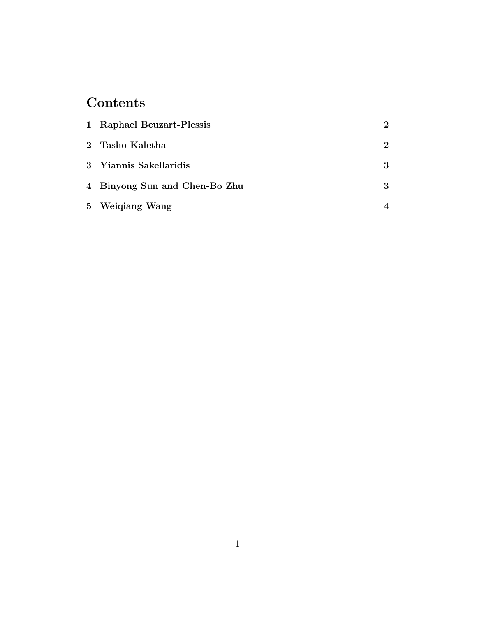# Contents

| 1 Raphael Beuzart-Plessis     | $\mathbf 2$ |
|-------------------------------|-------------|
| 2 Tasho Kaletha               | $\mathbf 2$ |
| 3 Yiannis Sakellaridis        | 3           |
| 4 Binyong Sun and Chen-Bo Zhu | 3           |
| 5 Weiqiang Wang               |             |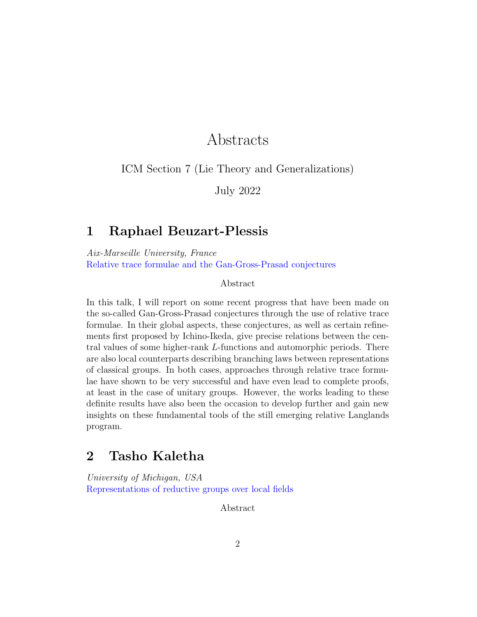## Abstracts

ICM Section 7 (Lie Theory and Generalizations)

July 2022

### 1 Raphael Beuzart-Plessis

Aix-Marseille University, France Relative trace formulae and the Gan-Gross-Prasad conjectures

Abstract

In this talk, I will report on some recent progress that have been made on the so-called Gan-Gross-Prasad conjectures through the use of relative trace formulae. In their global aspects, these conjectures, as well as certain refinements first proposed by Ichino-Ikeda, give precise relations between the central values of some higher-rank L-functions and automorphic periods. There are also local counterparts describing branching laws between representations of classical groups. In both cases, approaches through relative trace formulae have shown to be very successful and have even lead to complete proofs, at least in the case of unitary groups. However, the works leading to these definite results have also been the occasion to develop further and gain new insights on these fundamental tools of the still emerging relative Langlands program.

### 2 Tasho Kaletha

University of Michigan, USA Representations of reductive groups over local fields

Abstract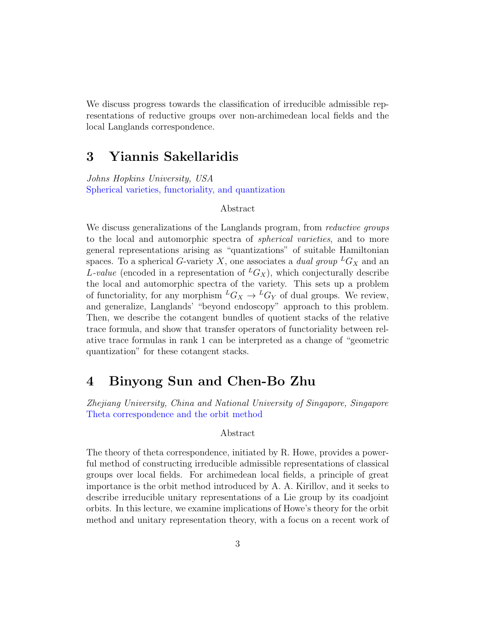We discuss progress towards the classification of irreducible admissible representations of reductive groups over non-archimedean local fields and the local Langlands correspondence.

### 3 Yiannis Sakellaridis

Johns Hopkins University, USA Spherical varieties, functoriality, and quantization

#### Abstract

We discuss generalizations of the Langlands program, from *reductive groups* to the local and automorphic spectra of spherical varieties, and to more general representations arising as "quantizations" of suitable Hamiltonian spaces. To a spherical G-variety X, one associates a *dual group*  ${}^L G_X$  and an L-value (encoded in a representation of  ${}^L G_X$ ), which conjecturally describe the local and automorphic spectra of the variety. This sets up a problem of functoriality, for any morphism  ${}^L G_X \rightarrow {}^L G_Y$  of dual groups. We review, and generalize, Langlands' "beyond endoscopy" approach to this problem. Then, we describe the cotangent bundles of quotient stacks of the relative trace formula, and show that transfer operators of functoriality between relative trace formulas in rank 1 can be interpreted as a change of "geometric quantization" for these cotangent stacks.

### 4 Binyong Sun and Chen-Bo Zhu

Zhejiang University, China and National University of Singapore, Singapore Theta correspondence and the orbit method

#### Abstract

The theory of theta correspondence, initiated by R. Howe, provides a powerful method of constructing irreducible admissible representations of classical groups over local fields. For archimedean local fields, a principle of great importance is the orbit method introduced by A. A. Kirillov, and it seeks to describe irreducible unitary representations of a Lie group by its coadjoint orbits. In this lecture, we examine implications of Howe's theory for the orbit method and unitary representation theory, with a focus on a recent work of